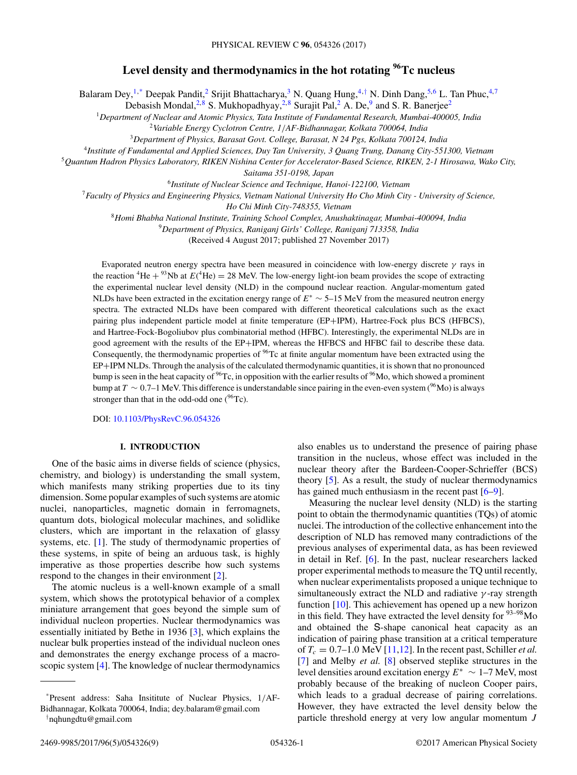# **Level density and thermodynamics in the hot rotating 96Tc nucleus**

Balaram Dey,<sup>1,\*</sup> Deepak Pandit,<sup>2</sup> Srijit Bhattacharya,<sup>3</sup> N. Quang Hung,<sup>4,†</sup> N. Dinh Dang,<sup>5,6</sup> L. Tan Phuc,<sup>4,7</sup>

Debasish Mondal,<sup>2,8</sup> S. Mukhopadhyay,<sup>2,8</sup> Surajit Pal,<sup>2</sup> A. De,<sup>9</sup> and S. R. Banerjee<sup>2</sup>

<sup>1</sup>*Department of Nuclear and Atomic Physics, Tata Institute of Fundamental Research, Mumbai-400005, India*

<sup>2</sup>*Variable Energy Cyclotron Centre, 1*/*AF-Bidhannagar, Kolkata 700064, India*

<sup>3</sup>*Department of Physics, Barasat Govt. College, Barasat, N 24 Pgs, Kolkata 700124, India*

<sup>4</sup>*Institute of Fundamental and Applied Sciences, Duy Tan University, 3 Quang Trung, Danang City-551300, Vietnam*

<sup>5</sup>*Quantum Hadron Physics Laboratory, RIKEN Nishina Center for Accelerator-Based Science, RIKEN, 2-1 Hirosawa, Wako City,*

*Saitama 351-0198, Japan*

<sup>6</sup>*Institute of Nuclear Science and Technique, Hanoi-122100, Vietnam*

<sup>7</sup>*Faculty of Physics and Engineering Physics, Vietnam National University Ho Cho Minh City - University of Science,*

*Ho Chi Minh City-748355, Vietnam*

<sup>8</sup>*Homi Bhabha National Institute, Training School Complex, Anushaktinagar, Mumbai-400094, India*

<sup>9</sup>*Department of Physics, Raniganj Girls' College, Raniganj 713358, India*

(Received 4 August 2017; published 27 November 2017)

Evaporated neutron energy spectra have been measured in coincidence with low-energy discrete  $\gamma$  rays in the reaction <sup>4</sup>He + <sup>93</sup>Nb at  $E$ <sup>(4</sup>He) = 28 MeV. The low-energy light-ion beam provides the scope of extracting the experimental nuclear level density (NLD) in the compound nuclear reaction. Angular-momentum gated NLDs have been extracted in the excitation energy range of  $E^* \sim 5-15$  MeV from the measured neutron energy spectra. The extracted NLDs have been compared with different theoretical calculations such as the exact pairing plus independent particle model at finite temperature (EP+IPM), Hartree-Fock plus BCS (HFBCS), and Hartree-Fock-Bogoliubov plus combinatorial method (HFBC). Interestingly, the experimental NLDs are in good agreement with the results of the EP+IPM, whereas the HFBCS and HFBC fail to describe these data. Consequently, the thermodynamic properties of <sup>96</sup>Tc at finite angular momentum have been extracted using the EP+IPM NLDs. Through the analysis of the calculated thermodynamic quantities, it is shown that no pronounced bump is seen in the heat capacity of  ${}^{96}Tc$ , in opposition with the earlier results of  ${}^{96}Mo$ , which showed a prominent bump at  $T \sim 0.7$ –1 MeV. This difference is understandable since pairing in the even-even system (<sup>96</sup>Mo) is always stronger than that in the odd-odd one  $(^{96}Tc)$ .

DOI: [10.1103/PhysRevC.96.054326](https://doi.org/10.1103/PhysRevC.96.054326)

## **I. INTRODUCTION**

One of the basic aims in diverse fields of science (physics, chemistry, and biology) is understanding the small system, which manifests many striking properties due to its tiny dimension. Some popular examples of such systems are atomic nuclei, nanoparticles, magnetic domain in ferromagnets, quantum dots, biological molecular machines, and solidlike clusters, which are important in the relaxation of glassy systems, etc. [\[1\]](#page-8-0). The study of thermodynamic properties of these systems, in spite of being an arduous task, is highly imperative as those properties describe how such systems respond to the changes in their environment [\[2\]](#page-8-0).

The atomic nucleus is a well-known example of a small system, which shows the prototypical behavior of a complex miniature arrangement that goes beyond the simple sum of individual nucleon properties. Nuclear thermodynamics was essentially initiated by Bethe in 1936 [\[3\]](#page-8-0), which explains the nuclear bulk properties instead of the individual nucleon ones and demonstrates the energy exchange process of a macroscopic system [\[4\]](#page-8-0). The knowledge of nuclear thermodynamics

† nqhungdtu@gmail.com

also enables us to understand the presence of pairing phase transition in the nucleus, whose effect was included in the nuclear theory after the Bardeen-Cooper-Schrieffer (BCS) theory [\[5\]](#page-8-0). As a result, the study of nuclear thermodynamics has gained much enthusiasm in the recent past  $[6-9]$ .

Measuring the nuclear level density (NLD) is the starting point to obtain the thermodynamic quantities (TQs) of atomic nuclei. The introduction of the collective enhancement into the description of NLD has removed many contradictions of the previous analyses of experimental data, as has been reviewed in detail in Ref. [\[6\]](#page-8-0). In the past, nuclear researchers lacked proper experimental methods to measure the TQ until recently, when nuclear experimentalists proposed a unique technique to simultaneously extract the NLD and radiative  $\gamma$ -ray strength function [\[10\]](#page-8-0). This achievement has opened up a new horizon in this field. They have extracted the level density for  $93-98$  Mo and obtained the S-shape canonical heat capacity as an indication of pairing phase transition at a critical temperature of  $T_c = 0.7$ –1.0 MeV [\[11,12\]](#page-8-0). In the recent past, Schiller *et al.* [\[7\]](#page-8-0) and Melby *et al.* [\[8\]](#page-8-0) observed steplike structures in the level densities around excitation energy  $E^* \sim 1-7$  MeV, most probably because of the breaking of nucleon Cooper pairs, which leads to a gradual decrease of pairing correlations. However, they have extracted the level density below the particle threshold energy at very low angular momentum J

<sup>\*</sup>Present address: Saha Insititute of Nuclear Physics, 1/AF-Bidhannagar, Kolkata 700064, India; dey.balaram@gmail.com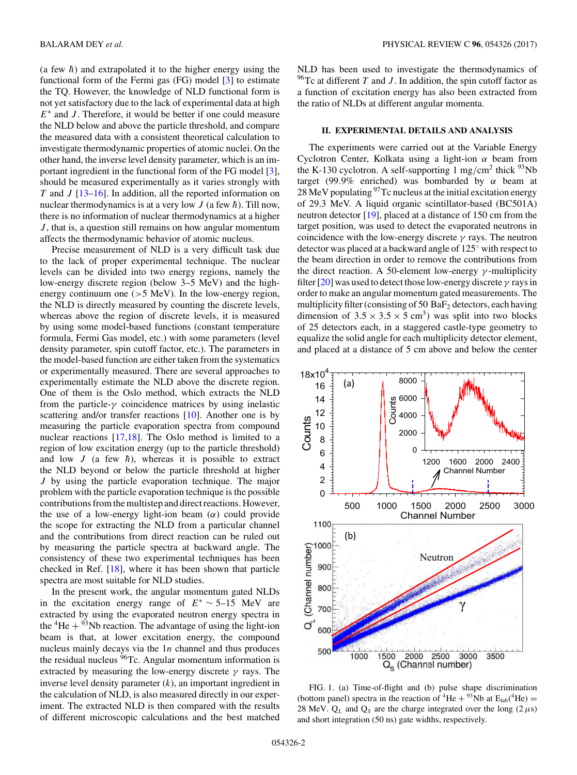<span id="page-1-0"></span>(a few  $\hbar$ ) and extrapolated it to the higher energy using the functional form of the Fermi gas (FG) model [\[3\]](#page-8-0) to estimate the TQ. However, the knowledge of NLD functional form is not yet satisfactory due to the lack of experimental data at high  $E^*$  and J. Therefore, it would be better if one could measure the NLD below and above the particle threshold, and compare the measured data with a consistent theoretical calculation to investigate thermodynamic properties of atomic nuclei. On the other hand, the inverse level density parameter, which is an important ingredient in the functional form of the FG model [\[3\]](#page-8-0), should be measured experimentally as it varies strongly with T and  $J$  [\[13–16\]](#page-8-0). In addition, all the reported information on nuclear thermodynamics is at a very low  $J$  (a few  $\hbar$ ). Till now, there is no information of nuclear thermodynamics at a higher  $J$ , that is, a question still remains on how angular momentum affects the thermodynamic behavior of atomic nucleus.

Precise measurement of NLD is a very difficult task due to the lack of proper experimental technique. The nuclear levels can be divided into two energy regions, namely the low-energy discrete region (below 3–5 MeV) and the highenergy continuum one  $(>5 \text{ MeV})$ . In the low-energy region, the NLD is directly measured by counting the discrete levels, whereas above the region of discrete levels, it is measured by using some model-based functions (constant temperature formula, Fermi Gas model, etc.) with some parameters (level density parameter, spin cutoff factor, etc.). The parameters in the model-based function are either taken from the systematics or experimentally measured. There are several approaches to experimentally estimate the NLD above the discrete region. One of them is the Oslo method, which extracts the NLD from the particle- $\gamma$  coincidence matrices by using inelastic scattering and/or transfer reactions [\[10\]](#page-8-0). Another one is by measuring the particle evaporation spectra from compound nuclear reactions  $[17,18]$ . The Oslo method is limited to a region of low excitation energy (up to the particle threshold) and low  $J$  (a few  $\hbar$ ), whereas it is possible to extract the NLD beyond or below the particle threshold at higher J by using the particle evaporation technique. The major problem with the particle evaporation technique is the possible contributions from the multistep and direct reactions. However, the use of a low-energy light-ion beam  $(\alpha)$  could provide the scope for extracting the NLD from a particular channel and the contributions from direct reaction can be ruled out by measuring the particle spectra at backward angle. The consistency of these two experimental techniques has been checked in Ref. [\[18\]](#page-8-0), where it has been shown that particle spectra are most suitable for NLD studies.

In the present work, the angular momentum gated NLDs in the excitation energy range of  $E^* \sim 5-15$  MeV are extracted by using the evaporated neutron energy spectra in the  ${}^{4}$ He  $+ {}^{93}$ Nb reaction. The advantage of using the light-ion beam is that, at lower excitation energy, the compound nucleus mainly decays via the  $1n$  channel and thus produces the residual nucleus  $96$ Tc. Angular momentum information is extracted by measuring the low-energy discrete  $\gamma$  rays. The inverse level density parameter  $(k)$ , an important ingredient in the calculation of NLD, is also measured directly in our experiment. The extracted NLD is then compared with the results of different microscopic calculations and the best matched

NLD has been used to investigate the thermodynamics of  $96$ Tc at different T and J. In addition, the spin cutoff factor as a function of excitation energy has also been extracted from the ratio of NLDs at different angular momenta.

#### **II. EXPERIMENTAL DETAILS AND ANALYSIS**

The experiments were carried out at the Variable Energy Cyclotron Center, Kolkata using a light-ion  $\alpha$  beam from the K-130 cyclotron. A self-supporting 1 mg/cm<sup>2</sup> thick <sup>93</sup>Nb target (99.9% enriched) was bombarded by  $\alpha$  beam at  $28$  MeV populating  $97$ Tc nucleus at the initial excitation energy of 29.3 MeV. A liquid organic scintillator-based (BC501A) neutron detector [\[19\]](#page-8-0), placed at a distance of 150 cm from the target position, was used to detect the evaporated neutrons in coincidence with the low-energy discrete  $\gamma$  rays. The neutron detector was placed at a backward angle of 125◦ with respect to the beam direction in order to remove the contributions from the direct reaction. A 50-element low-energy  $\gamma$ -multiplicity filter [\[20\]](#page-8-0) was used to detect those low-energy discrete  $\gamma$  rays in order to make an angular momentum gated measurements. The multiplicity filter (consisting of 50  $BaF<sub>2</sub>$  detectors, each having dimension of  $3.5 \times 3.5 \times 5$  cm<sup>3</sup>) was split into two blocks of 25 detectors each, in a staggered castle-type geometry to equalize the solid angle for each multiplicity detector element, and placed at a distance of 5 cm above and below the center



FIG. 1. (a) Time-of-flight and (b) pulse shape discrimination (bottom panel) spectra in the reaction of <sup>4</sup>He + <sup>93</sup>Nb at  $E_{lab}(^4He)$  = 28 MeV.  $Q_L$  and  $Q_S$  are the charge integrated over the long (2  $\mu$ s) and short integration (50 ns) gate widths, respectively.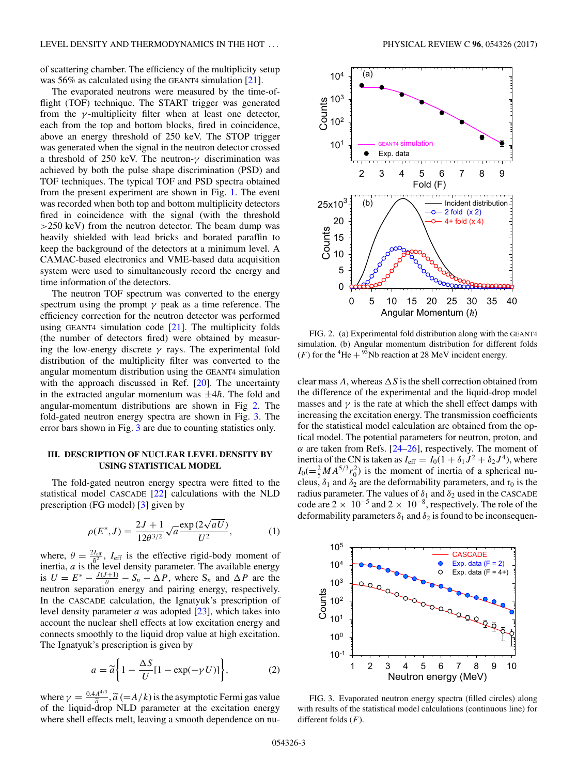<span id="page-2-0"></span>of scattering chamber. The efficiency of the multiplicity setup was 56% as calculated using the GEANT4 simulation [\[21\]](#page-8-0).

The evaporated neutrons were measured by the time-offlight (TOF) technique. The START trigger was generated from the  $\gamma$ -multiplicity filter when at least one detector, each from the top and bottom blocks, fired in coincidence, above an energy threshold of 250 keV. The STOP trigger was generated when the signal in the neutron detector crossed a threshold of 250 keV. The neutron- $\gamma$  discrimination was achieved by both the pulse shape discrimination (PSD) and TOF techniques. The typical TOF and PSD spectra obtained from the present experiment are shown in Fig. [1.](#page-1-0) The event was recorded when both top and bottom multiplicity detectors fired in coincidence with the signal (with the threshold >250 keV) from the neutron detector. The beam dump was heavily shielded with lead bricks and borated paraffin to keep the background of the detectors at a minimum level. A CAMAC-based electronics and VME-based data acquisition system were used to simultaneously record the energy and time information of the detectors.

The neutron TOF spectrum was converted to the energy spectrum using the prompt  $\gamma$  peak as a time reference. The efficiency correction for the neutron detector was performed using GEANT4 simulation code  $[21]$ . The multiplicity folds (the number of detectors fired) were obtained by measuring the low-energy discrete  $\gamma$  rays. The experimental fold distribution of the multiplicity filter was converted to the angular momentum distribution using the GEANT4 simulation with the approach discussed in Ref. [\[20\]](#page-8-0). The uncertainty in the extracted angular momentum was  $\pm 4\hbar$ . The fold and angular-momentum distributions are shown in Fig 2. The fold-gated neutron energy spectra are shown in Fig. 3. The error bars shown in Fig. 3 are due to counting statistics only.

## **III. DESCRIPTION OF NUCLEAR LEVEL DENSITY BY USING STATISTICAL MODEL**

The fold-gated neutron energy spectra were fitted to the statistical model CASCADE [\[22\]](#page-8-0) calculations with the NLD prescription (FG model) [\[3\]](#page-8-0) given by

$$
\rho(E^*, J) = \frac{2J + 1}{12\theta^{3/2}} \sqrt{a} \frac{\exp(2\sqrt{aU})}{U^2},
$$
 (1)

where,  $\theta = \frac{2I_{\text{eff}}}{h^2}$ ,  $I_{\text{eff}}$  is the effective rigid-body moment of inertia,  $\alpha$  is the level density parameter. The available energy is  $U = E^* - \frac{J(J+1)}{\theta} - S_n - \Delta P$ , where  $S_n$  and  $\Delta P$  are the neutron separation energy and pairing energy, respectively. In the CASCADE calculation, the Ignatyuk's prescription of level density parameter  $a$  was adopted  $[23]$ , which takes into account the nuclear shell effects at low excitation energy and connects smoothly to the liquid drop value at high excitation. The Ignatyuk's prescription is given by

$$
a = \tilde{a} \left\{ 1 - \frac{\Delta S}{U} [1 - \exp(-\gamma U)] \right\},\tag{2}
$$

where  $\gamma = \frac{0.4A^{4/3}}{\tilde{a}}$ ,  $\tilde{a} (=A/k)$  is the asymptotic Fermi gas value -of the liquid-drop NLD parameter at the excitation energy where shell effects melt, leaving a smooth dependence on nu-



FIG. 2. (a) Experimental fold distribution along with the GEANT4 simulation. (b) Angular momentum distribution for different folds (*F*) for the <sup>4</sup>He + <sup>93</sup>Nb reaction at 28 MeV incident energy.

clear mass A, whereas  $\Delta S$  is the shell correction obtained from the difference of the experimental and the liquid-drop model masses and  $\gamma$  is the rate at which the shell effect damps with increasing the excitation energy. The transmission coefficients for the statistical model calculation are obtained from the optical model. The potential parameters for neutron, proton, and  $\alpha$  are taken from Refs. [\[24–26\]](#page-8-0), respectively. The moment of inertia of the CN is taken as  $I_{\text{eff}} = I_0(1 + \delta_1 J^2 + \delta_2 J^4)$ , where  $I_0 = \frac{2}{5} M A^{5/3} r_0^2$  is the moment of inertia of a spherical nucleus,  $\delta_1$  and  $\delta_2$  are the deformability parameters, and  $r_0$  is the radius parameter. The values of  $\delta_1$  and  $\delta_2$  used in the CASCADE code are  $2 \times 10^{-5}$  and  $2 \times 10^{-8}$ , respectively. The role of the deformability parameters  $\delta_1$  and  $\delta_2$  is found to be inconsequen-



FIG. 3. Evaporated neutron energy spectra (filled circles) along with results of the statistical model calculations (continuous line) for different folds  $(F)$ .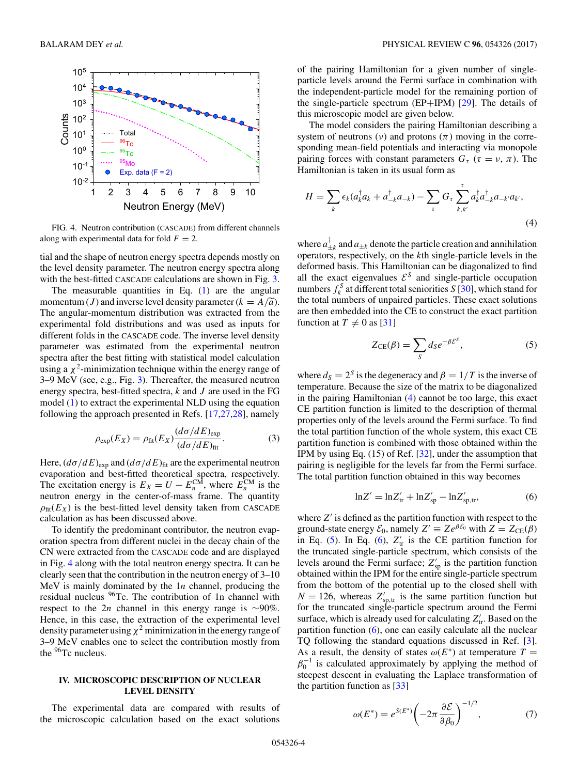<span id="page-3-0"></span>

FIG. 4. Neutron contribution (CASCADE) from different channels along with experimental data for fold  $F = 2$ .

tial and the shape of neutron energy spectra depends mostly on the level density parameter. The neutron energy spectra along with the best-fitted CASCADE calculations are shown in Fig. [3.](#page-2-0)

The measurable quantities in Eq.  $(1)$  are the angular momentum (*J*) and inverse level density parameter  $(k = A/\tilde{a})$ .<br>The encular momentum distribution was extremed from the The angular-momentum distribution was extracted from the experimental fold distributions and was used as inputs for different folds in the CASCADE code. The inverse level density parameter was estimated from the experimental neutron spectra after the best fitting with statistical model calculation using a  $\chi^2$ -minimization technique within the energy range of 3–9 MeV (see, e.g., Fig. [3\)](#page-2-0). Thereafter, the measured neutron energy spectra, best-fitted spectra,  $k$  and  $J$  are used in the FG model [\(1\)](#page-2-0) to extract the experimental NLD using the equation following the approach presented in Refs. [\[17,27,28\]](#page-8-0), namely

$$
\rho_{\exp}(E_X) = \rho_{\rm fit}(E_X) \frac{(d\sigma/dE)_{\rm exp}}{(d\sigma/dE)_{\rm fit}}.\tag{3}
$$

Here,  $(d\sigma/dE)_{\text{exp}}$  and  $(d\sigma/dE)_{\text{fit}}$  are the experimental neutron evaporation and best-fitted theoretical spectra, respectively. The excitation energy is  $E_X = U - E_n^{\text{CM}}$ , where  $E_n^{\text{CM}}$  is the neutron energy in the center-of-mass frame. The quantity  $\rho_{\text{fit}}(E_X)$  is the best-fitted level density taken from CASCADE calculation as has been discussed above.

To identify the predominant contributor, the neutron evaporation spectra from different nuclei in the decay chain of the CN were extracted from the CASCADE code and are displayed in Fig. 4 along with the total neutron energy spectra. It can be clearly seen that the contribution in the neutron energy of 3–10 MeV is mainly dominated by the  $1n$  channel, producing the residual nucleus <sup>96</sup>Tc. The contribution of 1n channel with respect to the 2<sup>n</sup> channel in this energy range is <sup>∼</sup>90%. Hence, in this case, the extraction of the experimental level density parameter using  $\chi^2$  minimization in the energy range of 3–9 MeV enables one to select the contribution mostly from the <sup>96</sup>Tc nucleus.

## **IV. MICROSCOPIC DESCRIPTION OF NUCLEAR LEVEL DENSITY**

The experimental data are compared with results of the microscopic calculation based on the exact solutions

of the pairing Hamiltonian for a given number of singleparticle levels around the Fermi surface in combination with the independent-particle model for the remaining portion of the single-particle spectrum (EP+IPM) [\[29\]](#page-8-0). The details of this microscopic model are given below.

The model considers the pairing Hamiltonian describing a system of neutrons (*v*) and protons  $(\pi)$  moving in the corresponding mean-field potentials and interacting via monopole pairing forces with constant parameters  $G_\tau$  ( $\tau = \nu, \pi$ ). The Hamiltonian is taken in its usual form as

$$
H = \sum_{k} \epsilon_k (a_k^{\dagger} a_k + a_{-k}^{\dagger} a_{-k}) - \sum_{\tau} G_{\tau} \sum_{k,k'}^{\tau} a_k^{\dagger} a_{-k'}^{\dagger} a_{-k'} a_{k'},
$$
\n(4)

where  $a_{\pm k}^{\dagger}$  and  $a_{\pm k}$  denote the particle creation and annihilation operators, respectively, on the kth single-particle levels in the deformed basis. This Hamiltonian can be diagonalized to find all the exact eigenvalues  $\mathcal{E}^S$  and single-particle occupation numbers  $f_k^S$  at different total seniorities S [\[30\]](#page-8-0), which stand for the total numbers of unpaired particles. These exact solutions are then embedded into the CE to construct the exact partition function at  $T \neq 0$  as [\[31\]](#page-8-0)

$$
Z_{\rm CE}(\beta) = \sum_{S} d_S e^{-\beta \mathcal{E}^S},\tag{5}
$$

where  $d_S = 2^S$  is the degeneracy and  $\beta = 1/T$  is the inverse of temperature. Because the size of the matrix to be diagonalized in the pairing Hamiltonian (4) cannot be too large, this exact CE partition function is limited to the description of thermal properties only of the levels around the Fermi surface. To find the total partition function of the whole system, this exact CE partition function is combined with those obtained within the IPM by using Eq. (15) of Ref. [\[32\]](#page-8-0), under the assumption that pairing is negligible for the levels far from the Fermi surface. The total partition function obtained in this way becomes

$$
\ln Z' = \ln Z'_{tr} + \ln Z'_{sp} - \ln Z'_{sp,tr},\tag{6}
$$

where  $Z'$  is defined as the partition function with respect to the ground-state energy  $\mathcal{E}_0$ , namely  $Z' \equiv Z e^{\beta \mathcal{E}_0}$  with  $Z = Z_{CE}(\beta)$ in Eq. (5). In Eq. (6),  $Z'_{tr}$  is the CE partition function for the truncated single-particle spectrum, which consists of the levels around the Fermi surface;  $Z'_{sp}$  is the partition function obtained within the IPM for the entire single-particle spectrum from the bottom of the potential up to the closed shell with  $N = 126$ , whereas  $Z'_{\text{sp,tr}}$  is the same partition function but for the truncated single-particle spectrum around the Fermi surface, which is already used for calculating  $Z'_{tr}$ . Based on the partition function (6), one can easily calculate all the nuclear TQ following the standard equations discussed in Ref. [\[3\]](#page-8-0). As a result, the density of states  $\omega(E^*)$  at temperature  $T =$  $\beta_0^{-1}$  is calculated approximately by applying the method of steepest descent in evaluating the Laplace transformation of the partition function as [\[33\]](#page-8-0)

$$
\omega(E^*) = e^{S(E^*)} \left(-2\pi \frac{\partial \mathcal{E}}{\partial \beta_0}\right)^{-1/2},\tag{7}
$$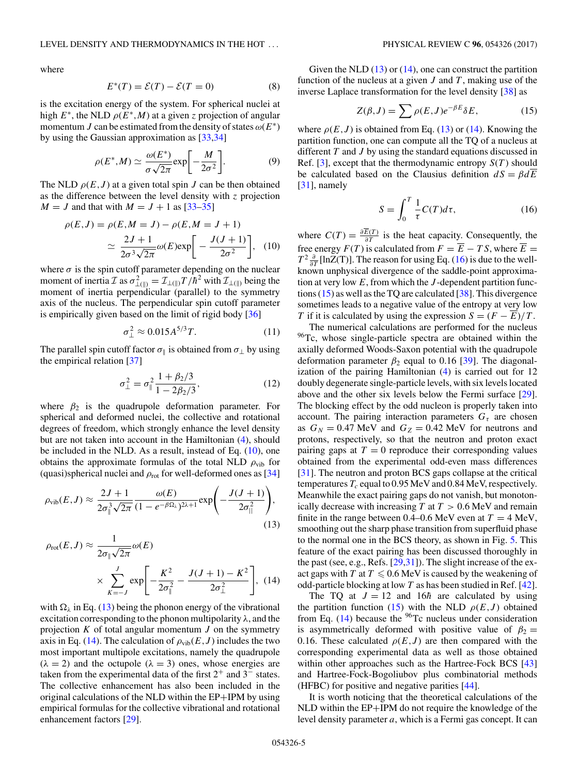<span id="page-4-0"></span>where

$$
E^*(T) = \mathcal{E}(T) - \mathcal{E}(T = 0)
$$
\n(8)

is the excitation energy of the system. For spherical nuclei at high  $E^*$ , the NLD  $\rho(E^*, M)$  at a given z projection of angular momentum J can be estimated from the density of states  $\omega(E^*)$ by using the Gaussian approximation as [\[33,34\]](#page-8-0)

$$
\rho(E^*,M) \simeq \frac{\omega(E^*)}{\sigma\sqrt{2\pi}} \exp\biggl[-\frac{M}{2\sigma^2}\biggr].
$$
 (9)

The NLD  $\rho(E, J)$  at a given total spin J can be then obtained as the difference between the level density with z projection  $M = J$  and that with  $M = J + 1$  as [\[33–35\]](#page-8-0)

$$
\rho(E, J) = \rho(E, M = J) - \rho(E, M = J + 1)
$$

$$
\simeq \frac{2J + 1}{2\sigma^3 \sqrt{2\pi}} \omega(E) \exp\left[-\frac{J(J + 1)}{2\sigma^2}\right], \quad (10)
$$

where  $\sigma$  is the spin cutoff parameter depending on the nuclear moment of inertia  $\mathcal I$  as  $\sigma_{\perp(\parallel)}^2 = \mathcal I_{\perp(\parallel)} T / \hbar^2$  with  $\mathcal I_{\perp(\parallel)}$  being the moment of inertia perpendicular (parallel) to the symmetry axis of the nucleus. The perpendicular spin cutoff parameter is empirically given based on the limit of rigid body [\[36\]](#page-8-0)

$$
\sigma_{\perp}^2 \approx 0.015 A^{5/3} T. \tag{11}
$$

The parallel spin cutoff factor  $\sigma_{\parallel}$  is obtained from  $\sigma_{\perp}$  by using the empirical relation [\[37\]](#page-8-0)

$$
\sigma_{\perp}^2 = \sigma_{\parallel}^2 \frac{1 + \beta_2/3}{1 - 2\beta_2/3},\tag{12}
$$

where  $\beta_2$  is the quadrupole deformation parameter. For spherical and deformed nuclei, the collective and rotational degrees of freedom, which strongly enhance the level density but are not taken into account in the Hamiltonian [\(4\)](#page-3-0), should be included in the NLD. As a result, instead of Eq. (10), one obtains the approximate formulas of the total NLD  $\rho_{\text{vib}}$  for (quasi)spherical nuclei and  $\rho_{\text{rot}}$  for well-deformed ones as [\[34\]](#page-8-0)

$$
\rho_{\text{vib}}(E,J) \approx \frac{2J+1}{2\sigma_{\parallel}^3 \sqrt{2\pi}} \frac{\omega(E)}{(1 - e^{-\beta \Omega_{\lambda}})^{2\lambda+1}} \exp\left(-\frac{J(J+1)}{2\sigma_{\parallel}^2}\right),\tag{13}
$$

$$
\rho_{\text{rot}}(E, J) \approx \frac{1}{2\sigma_{\parallel}\sqrt{2\pi}}\omega(E)
$$

$$
\times \sum_{K=-J}^{J} \exp\left[-\frac{K^2}{2\sigma_{\parallel}^2} - \frac{J(J+1) - K^2}{2\sigma_{\perp}^2}\right], \quad (14)
$$

with  $\Omega_{\lambda}$  in Eq. (13) being the phonon energy of the vibrational excitation corresponding to the phonon multipolarity  $\lambda$ , and the projection  $K$  of total angular momentum  $J$  on the symmetry axis in Eq. (14). The calculation of  $\rho_{vib}(E,J)$  includes the two most important multipole excitations, namely the quadrupole  $(\lambda = 2)$  and the octupole  $(\lambda = 3)$  ones, whose energies are taken from the experimental data of the first  $2^+$  and  $3^-$  states. The collective enhancement has also been included in the original calculations of the NLD within the EP+IPM by using empirical formulas for the collective vibrational and rotational enhancement factors [\[29\]](#page-8-0).

Given the NLD  $(13)$  or  $(14)$ , one can construct the partition function of the nucleus at a given  $J$  and  $T$ , making use of the inverse Laplace transformation for the level density [\[38\]](#page-8-0) as

$$
Z(\beta, J) = \sum \rho(E, J)e^{-\beta E} \delta E, \qquad (15)
$$

where  $\rho(E, J)$  is obtained from Eq. (13) or (14). Knowing the partition function, one can compute all the TQ of a nucleus at different T and J by using the standard equations discussed in Ref. [\[3\]](#page-8-0), except that the thermodynamic entropy  $S(T)$  should be calculated based on the Clausius definition  $dS = \beta dE$ [\[31\]](#page-8-0), namely

$$
S = \int_0^T \frac{1}{\tau} C(T) d\tau,
$$
\n(16)

where  $C(T) = \frac{\partial \overline{E}(T)}{\partial T}$  is the heat capacity. Consequently, the free energy  $F(T)$  is calculated from  $F = \overline{E} - TS$ , where  $\overline{E} =$  $T^2 \frac{\partial}{\partial T} [\ln Z(T)]$ . The reason for using Eq. (16) is due to the wellknown unphysical divergence of the saddle-point approximation at very low  $E$ , from which the  $J$ -dependent partition functions  $(15)$  as well as the TQ are calculated [\[38\]](#page-8-0). This divergence sometimes leads to a negative value of the entropy at very low T if it is calculated by using the expression  $S = (F - E)/T$ .

The numerical calculations are performed for the nucleus 96Tc, whose single-particle spectra are obtained within the axially deformed Woods-Saxon potential with the quadrupole deformation parameter  $\beta_2$  equal to 0.16 [\[39\]](#page-8-0). The diagonalization of the pairing Hamiltonian [\(4\)](#page-3-0) is carried out for 12 doubly degenerate single-particle levels, with six levels located above and the other six levels below the Fermi surface [\[29\]](#page-8-0). The blocking effect by the odd nucleon is properly taken into account. The pairing interaction parameters  $G<sub>\tau</sub>$  are chosen as  $G_N = 0.47$  MeV and  $G_Z = 0.42$  MeV for neutrons and protons, respectively, so that the neutron and proton exact pairing gaps at  $T = 0$  reproduce their corresponding values obtained from the experimental odd-even mass differences [\[31\]](#page-8-0). The neutron and proton BCS gaps collapse at the critical temperatures  $T_c$  equal to 0.95 MeV and 0.84 MeV, respectively. Meanwhile the exact pairing gaps do not vanish, but monotonically decrease with increasing  $T$  at  $T > 0.6$  MeV and remain finite in the range between 0.4–0.6 MeV even at  $T = 4$  MeV, smoothing out the sharp phase transition from superfluid phase to the normal one in the BCS theory, as shown in Fig. [5.](#page-5-0) This feature of the exact pairing has been discussed thoroughly in the past (see, e.g., Refs. [\[29,31\]](#page-8-0)). The slight increase of the exact gaps with T at  $T \le 0.6$  MeV is caused by the weakening of odd-particle blocking at low T as has been studied in Ref.  $[42]$ .

The TQ at  $J = 12$  and 16h are calculated by using the partition function (15) with the NLD  $\rho(E, J)$  obtained from Eq.  $(14)$  because the <sup>96</sup>Tc nucleus under consideration is asymmetrically deformed with positive value of  $\beta_2 =$ 0.16. These calculated  $\rho(E, J)$  are then compared with the corresponding experimental data as well as those obtained within other approaches such as the Hartree-Fock BCS [\[43\]](#page-8-0) and Hartree-Fock-Bogoliubov plus combinatorial methods (HFBC) for positive and negative parities [\[44\]](#page-8-0).

It is worth noticing that the theoretical calculations of the NLD within the EP+IPM do not require the knowledge of the level density parameter a, which is a Fermi gas concept. It can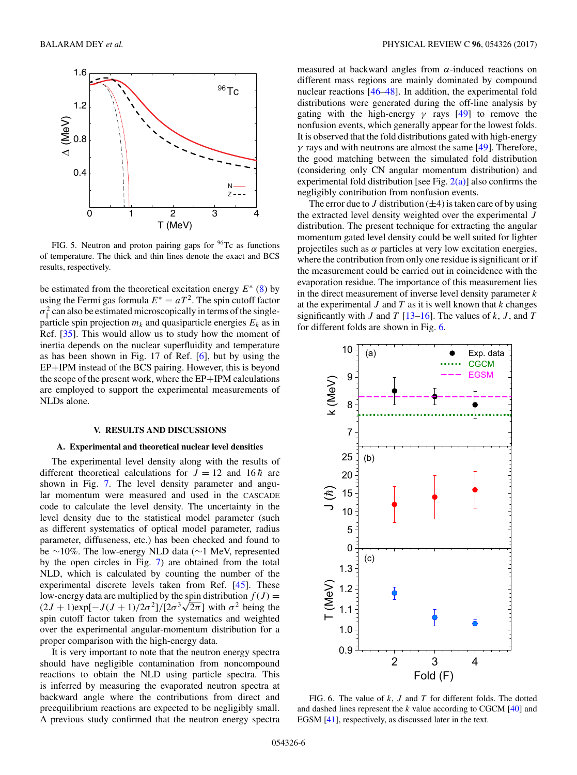<span id="page-5-0"></span>

FIG. 5. Neutron and proton pairing gaps for  $96Tc$  as functions of temperature. The thick and thin lines denote the exact and BCS results, respectively.

be estimated from the theoretical excitation energy  $E^*$  [\(8\)](#page-4-0) by using the Fermi gas formula  $E^* = aT^2$ . The spin cutoff factor  $\sigma_{\parallel}^2$  can also be estimated microscopically in terms of the singleparticle spin projection  $m_k$  and quasiparticle energies  $E_k$  as in Ref. [\[35\]](#page-8-0). This would allow us to study how the moment of inertia depends on the nuclear superfluidity and temperature as has been shown in Fig. 17 of Ref. [\[6\]](#page-8-0), but by using the EP+IPM instead of the BCS pairing. However, this is beyond the scope of the present work, where the EP+IPM calculations are employed to support the experimental measurements of NLDs alone.

### **V. RESULTS AND DISCUSSIONS**

#### **A. Experimental and theoretical nuclear level densities**

The experimental level density along with the results of different theoretical calculations for  $J = 12$  and  $16 \hbar$  are shown in Fig. [7.](#page-6-0) The level density parameter and angular momentum were measured and used in the CASCADE code to calculate the level density. The uncertainty in the level density due to the statistical model parameter (such as different systematics of optical model parameter, radius parameter, diffuseness, etc.) has been checked and found to be ∼10%. The low-energy NLD data (∼1 MeV, represented by the open circles in Fig. [7\)](#page-6-0) are obtained from the total NLD, which is calculated by counting the number of the experimental discrete levels taken from Ref. [\[45\]](#page-8-0). These low-energy data are multiplied by the spin distribution  $f(J)$  = (2J + 1)exp[ $-J(J+1)/2\sigma^2$ ]/[2 $\sigma^3\sqrt{2\pi}$ ] with  $\sigma^2$  being the spin cutoff factor taken from the systematics and weighted over the experimental angular-momentum distribution for a proper comparison with the high-energy data.

It is very important to note that the neutron energy spectra should have negligible contamination from noncompound reactions to obtain the NLD using particle spectra. This is inferred by measuring the evaporated neutron spectra at backward angle where the contributions from direct and preequilibrium reactions are expected to be negligibly small. A previous study confirmed that the neutron energy spectra

measured at backward angles from  $\alpha$ -induced reactions on different mass regions are mainly dominated by compound nuclear reactions [\[46–48\]](#page-8-0). In addition, the experimental fold distributions were generated during the off-line analysis by gating with the high-energy  $\gamma$  rays [\[49\]](#page-8-0) to remove the nonfusion events, which generally appear for the lowest folds. It is observed that the fold distributions gated with high-energy  $\gamma$  rays and with neutrons are almost the same [\[49\]](#page-8-0). Therefore, the good matching between the simulated fold distribution (considering only CN angular momentum distribution) and experimental fold distribution [see Fig.  $2(a)$ ] also confirms the negligibly contribution from nonfusion events.

The error due to J distribution  $(\pm 4)$  is taken care of by using the extracted level density weighted over the experimental J distribution. The present technique for extracting the angular momentum gated level density could be well suited for lighter projectiles such as  $\alpha$  particles at very low excitation energies, where the contribution from only one residue is significant or if the measurement could be carried out in coincidence with the evaporation residue. The importance of this measurement lies in the direct measurement of inverse level density parameter  $k$ at the experimental  $J$  and  $T$  as it is well known that  $k$  changes significantly with J and T  $[13–16]$ . The values of k, J, and T for different folds are shown in Fig. 6.



FIG. 6. The value of  $k$ ,  $J$  and  $T$  for different folds. The dotted and dashed lines represent the  $k$  value according to CGCM  $[40]$  and EGSM [\[41\]](#page-8-0), respectively, as discussed later in the text.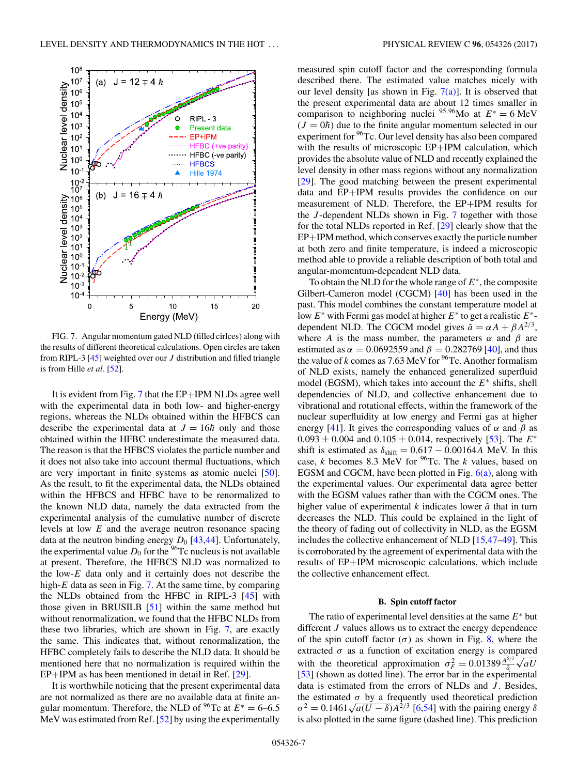<span id="page-6-0"></span>

FIG. 7. Angular momentum gated NLD (filled cirlces) along with the results of different theoretical calculations. Open circles are taken from RIPL-3  $[45]$  weighted over our J distribution and filled triangle is from Hille *et al.* [\[52\]](#page-8-0).

It is evident from Fig. 7 that the EP+IPM NLDs agree well with the experimental data in both low- and higher-energy regions, whereas the NLDs obtained within the HFBCS can describe the experimental data at  $J = 16\hbar$  only and those obtained within the HFBC underestimate the measured data. The reason is that the HFBCS violates the particle number and it does not also take into account thermal fluctuations, which are very important in finite systems as atomic nuclei [\[50\]](#page-8-0). As the result, to fit the experimental data, the NLDs obtained within the HFBCS and HFBC have to be renormalized to the known NLD data, namely the data extracted from the experimental analysis of the cumulative number of discrete levels at low E and the average neutron resonance spacing data at the neutron binding energy  $D_0$  [\[43,44\]](#page-8-0). Unfortunately, the experimental value  $D_0$  for the <sup>96</sup>Tc nucleus is not available at present. Therefore, the HFBCS NLD was normalized to the low- $E$  data only and it certainly does not describe the high- $E$  data as seen in Fig. 7. At the same time, by comparing the NLDs obtained from the HFBC in RIPL-3 [\[45\]](#page-8-0) with those given in BRUSILB [\[51\]](#page-8-0) within the same method but without renormalization, we found that the HFBC NLDs from these two libraries, which are shown in Fig. 7, are exactly the same. This indicates that, without renormalization, the HFBC completely fails to describe the NLD data. It should be mentioned here that no normalization is required within the EP+IPM as has been mentioned in detail in Ref. [\[29\]](#page-8-0).

It is worthwhile noticing that the present experimental data are not normalized as there are no available data at finite angular momentum. Therefore, the NLD of <sup>96</sup>Tc at  $E^* = 6{\text -}6.5$ MeV was estimated from Ref. [\[52\]](#page-8-0) by using the experimentally

measured spin cutoff factor and the corresponding formula described there. The estimated value matches nicely with our level density [as shown in Fig.  $7(a)$ ]. It is observed that the present experimental data are about 12 times smaller in comparison to neighboring nuclei  $95,96$ Mo at  $E^* = 6$  MeV  $(J = 0<sup>h</sup>)$  due to the finite angular momentum selected in our experiment for  $96Tc$ . Our level density has also been compared with the results of microscopic EP+IPM calculation, which provides the absolute value of NLD and recently explained the level density in other mass regions without any normalization [\[29\]](#page-8-0). The good matching between the present experimental data and EP+IPM results provides the confidence on our measurement of NLD. Therefore, the EP+IPM results for the J-dependent NLDs shown in Fig. 7 together with those for the total NLDs reported in Ref. [\[29\]](#page-8-0) clearly show that the EP+IPM method, which conserves exactly the particle number at both zero and finite temperature, is indeed a microscopic method able to provide a reliable description of both total and angular-momentum-dependent NLD data.

To obtain the NLD for the whole range of  $E^*$ , the composite Gilbert-Cameron model (CGCM) [\[40\]](#page-8-0) has been used in the past. This model combines the constant temperature model at low  $E^*$  with Fermi gas model at higher  $E^*$  to get a realistic  $E^*$ dependent NLD. The CGCM model gives  $\tilde{a} = \alpha A + \beta A^{2/3}$ , where A is the mass number, the parameters  $\alpha$  and  $\beta$  are estimated as  $\alpha = 0.0692559$  and  $\beta = 0.282769$  [\[40\]](#page-8-0), and thus the value of k comes as 7.63 MeV for  $96$ Tc. Another formalism of NLD exists, namely the enhanced generalized superfluid model (EGSM), which takes into account the  $E^*$  shifts, shell dependencies of NLD, and collective enhancement due to vibrational and rotational effects, within the framework of the nuclear superfluidity at low energy and Fermi gas at higher energy [\[41\]](#page-8-0). It gives the corresponding values of  $\alpha$  and  $\beta$  as  $0.093 \pm 0.004$  and  $0.105 \pm 0.014$ , respectively [\[53\]](#page-8-0). The  $E^*$ shift is estimated as  $\delta_{\text{shift}} = 0.617 - 0.00164A$  MeV. In this case, k becomes 8.3 MeV for  $96$ Tc. The k values, based on EGSM and CGCM, have been plotted in Fig. [6\(a\),](#page-5-0) along with the experimental values. Our experimental data agree better with the EGSM values rather than with the CGCM ones. The higher value of experimental  $k$  indicates lower  $\tilde{a}$  that in turn decreases the NLD. This could be explained in the light of the theory of fading out of collectivity in NLD, as the EGSM includes the collective enhancement of NLD [\[15,47–49\]](#page-8-0). This is corroborated by the agreement of experimental data with the results of EP+IPM microscopic calculations, which include the collective enhancement effect.

## **B. Spin cutoff factor**

The ratio of experimental level densities at the same  $E^*$  but different *J* values allows us to extract the energy dependence of the spin cutoff factor  $(\sigma)$  as shown in Fig. [8,](#page-7-0) where the extracted  $\sigma$  as a function of excitation energy is compared with the theoretical approximation  $\sigma_F^2 = 0.01389 \frac{A^{5/3}}{\tilde{a}} \sqrt{aU}$ [\[53\]](#page-8-0) (shown as dotted line). The error bar in the experimental data is estimated from the errors of NLDs and J. Besides, the estimated  $\sigma$  by a frequently used theoretical prediction  $\sigma^2 = 0.1461 \sqrt{a(U - \delta)} A^{2/3}$  [\[6,54\]](#page-8-0) with the pairing energy  $\delta$ is also plotted in the same figure (dashed line). This prediction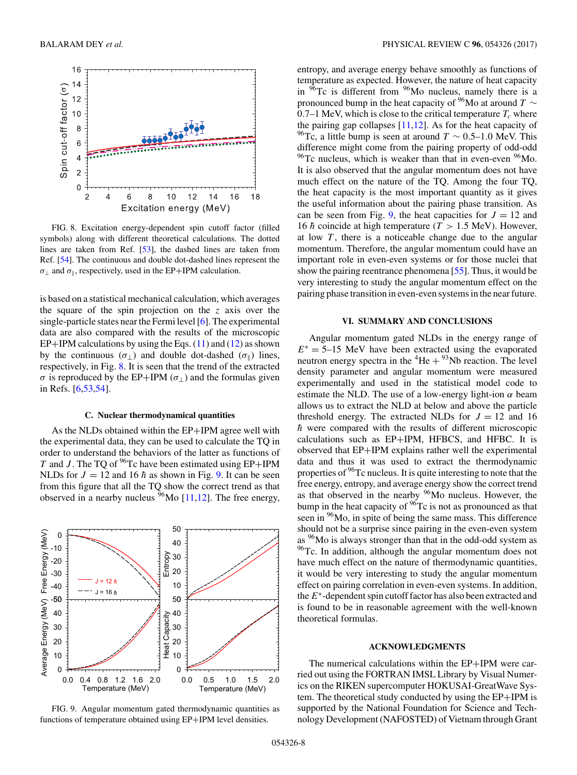<span id="page-7-0"></span>

FIG. 8. Excitation energy-dependent spin cutoff factor (filled symbols) along with different theoretical calculations. The dotted lines are taken from Ref. [\[53\]](#page-8-0), the dashed lines are taken from Ref. [\[54\]](#page-8-0). The continuous and double dot-dashed lines represent the  $\sigma_{\perp}$  and  $\sigma_{\parallel}$ , respectively, used in the EP+IPM calculation.

is based on a statistical mechanical calculation, which averages the square of the spin projection on the  $z$  axis over the single-particle states near the Fermi level [\[6\]](#page-8-0). The experimental data are also compared with the results of the microscopic EP+IPM calculations by using the Eqs.  $(11)$  and  $(12)$  as shown by the continuous ( $\sigma_{\perp}$ ) and double dot-dashed ( $\sigma_{\parallel}$ ) lines, respectively, in Fig. 8. It is seen that the trend of the extracted  $\sigma$  is reproduced by the EP+IPM ( $\sigma_{\perp}$ ) and the formulas given in Refs. [\[6,53,54\]](#page-8-0).

#### **C. Nuclear thermodynamical quantities**

As the NLDs obtained within the EP+IPM agree well with the experimental data, they can be used to calculate the TQ in order to understand the behaviors of the latter as functions of T and J. The TQ of  $96$ Tc have been estimated using EP+IPM NLDs for  $J = 12$  and 16  $\hbar$  as shown in Fig. 9. It can be seen from this figure that all the TQ show the correct trend as that observed in a nearby nucleus  $\frac{96}{9}$ Mo [\[11,12\]](#page-8-0). The free energy,





entropy, and average energy behave smoothly as functions of temperature as expected. However, the nature of heat capacity in  $96Tc$  is different from  $96Mo$  nucleus, namely there is a pronounced bump in the heat capacity of <sup>96</sup>Mo at around  $T \sim$ 0.7–1 MeV, which is close to the critical temperature  $T_c$  where the pairing gap collapses [\[11,12\]](#page-8-0). As for the heat capacity of <sup>96</sup>Tc, a little bump is seen at around  $T \sim 0.5-1.0$  MeV. This difference might come from the pairing property of odd-odd  $96$ Tc nucleus, which is weaker than that in even-even  $96$ Mo. It is also observed that the angular momentum does not have much effect on the nature of the TQ. Among the four TQ, the heat capacity is the most important quantity as it gives the useful information about the pairing phase transition. As can be seen from Fig. 9, the heat capacities for  $J = 12$  and 16  $\hbar$  coincide at high temperature (T > 1.5 MeV). However, at low  $T$ , there is a noticeable change due to the angular momentum. Therefore, the angular momentum could have an important role in even-even systems or for those nuclei that show the pairing reentrance phenomena [\[55\]](#page-8-0). Thus, it would be very interesting to study the angular momentum effect on the pairing phase transition in even-even systems in the near future.

#### **VI. SUMMARY AND CONCLUSIONS**

Angular momentum gated NLDs in the energy range of  $E^* = 5-15$  MeV have been extracted using the evaporated neutron energy spectra in the  ${}^{4}$ He +  ${}^{93}$ Nb reaction. The level density parameter and angular momentum were measured experimentally and used in the statistical model code to estimate the NLD. The use of a low-energy light-ion  $\alpha$  beam allows us to extract the NLD at below and above the particle threshold energy. The extracted NLDs for  $J = 12$  and 16  $\hbar$  were compared with the results of different microscopic calculations such as EP+IPM, HFBCS, and HFBC. It is observed that EP+IPM explains rather well the experimental data and thus it was used to extract the thermodynamic properties of <sup>96</sup>Tc nucleus. It is quite interesting to note that the free energy, entropy, and average energy show the correct trend as that observed in the nearby  $96$ Mo nucleus. However, the bump in the heat capacity of  $\frac{96}{3}$ Tc is not as pronounced as that seen in <sup>96</sup>Mo, in spite of being the same mass. This difference should not be a surprise since pairing in the even-even system as 96Mo is always stronger than that in the odd-odd system as <sup>96</sup>Tc. In addition, although the angular momentum does not have much effect on the nature of thermodynamic quantities, it would be very interesting to study the angular momentum effect on pairing correlation in even-even systems. In addition, the  $E^*$ -dependent spin cutoff factor has also been extracted and is found to be in reasonable agreement with the well-known theoretical formulas.

### **ACKNOWLEDGMENTS**

The numerical calculations within the EP+IPM were carried out using the FORTRAN IMSL Library by Visual Numerics on the RIKEN supercomputer HOKUSAI-GreatWave System. The theoretical study conducted by using the EP+IPM is supported by the National Foundation for Science and Technology Development (NAFOSTED) of Vietnam through Grant